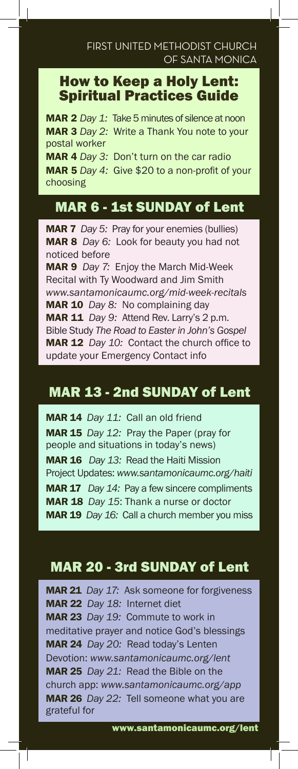### How to Keep a Holy Lent: Spiritual Practices Guide

MAR 2 *Day 1:* Take 5 minutes of silence at noon MAR 3 *Day 2:* Write a Thank You note to your postal worker MAR 4 *Day 3:* Don't turn on the car radio MAR 5 *Day 4:* Give \$20 to a non-profit of your choosing

# MAR 6 - 1st SUNDAY of Lent

MAR 7 *Day 5:* Pray for your enemies (bullies) MAR 8 *Day 6:* Look for beauty you had not noticed before MAR 9 *Day 7:* Enjoy the March Mid-Week Recital with Ty Woodward and Jim Smith *www.santamonicaumc.org/mid-week-recitals* MAR 10 *Day 8:* No complaining day MAR 11 *Day 9:* Attend Rev. Larry's 2 p.m. Bible Study *The Road to Easter in John's Gospel* MAR 12 *Day 10:* Contact the church office to update your Emergency Contact info

## MAR 13 - 2nd SUNDAY of Lent

MAR 14 *Day 11:* Call an old friend MAR 15 *Day 12:* Pray the Paper (pray for people and situations in today's news) MAR 16 *Day 13:* Read the Haiti Mission Project Updates: *www.santamonicaumc.org/haiti* MAR 17 *Day 14:* Pay a few sincere compliments MAR 18 *Day 15*: Thank a nurse or doctor MAR 19 *Day 16:* Call a church member you miss

## MAR 20 - 3rd SUNDAY of Lent

MAR 21 *Day 17:* Ask someone for forgiveness MAR 22 *Day 18:* Internet diet MAR 23 *Day 19:* Commute to work in meditative prayer and notice God's blessings MAR 24 *Day 20:* Read today's Lenten Devotion: *www.santamonicaumc.org/lent* MAR 25 *Day 21:* Read the Bible on the church app: *www.santamonicaumc.org/app* MAR 26 *Day 22:* Tell someone what you are grateful for